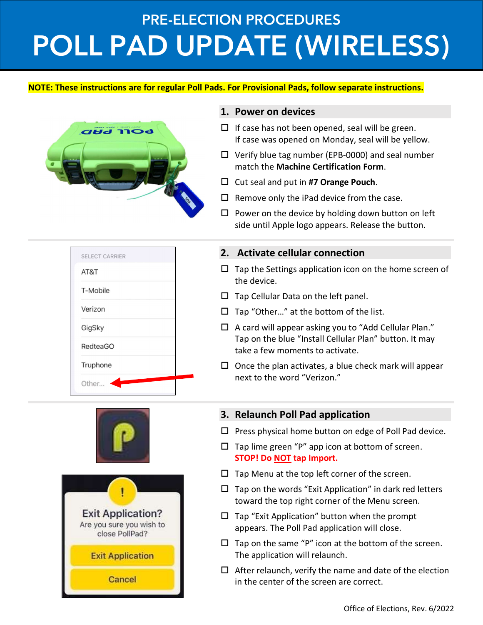# PRE-ELECTION PROCEDURES POLL PAD UPDATE (WIRELESS)

#### NOTE: These instructions are for regular Poll Pads. For Provisional Pads, follow separate instructions.



#### 1. Power on devices

- $\Box$  If case has not been opened, seal will be green. If case was opened on Monday, seal will be yellow.
- $\Box$  Verify blue tag number (EPB-0000) and seal number match the Machine Certification Form.
- $\Box$  Cut seal and put in #7 Orange Pouch.
- $\Box$  Remove only the iPad device from the case.
- $\square$  Power on the device by holding down button on left side until Apple logo appears. Release the button.

# SELECT CARRIER AT&T T-Mobile Verizon GigSky **RedteaGO** Truphone Other...





Cancel

### 2. Activate cellular connection

- $\Box$  Tap the Settings application icon on the home screen of the device.
- $\square$  Tap Cellular Data on the left panel.
- $\Box$  Tap "Other..." at the bottom of the list.
- $\Box$  A card will appear asking you to "Add Cellular Plan." Tap on the blue "Install Cellular Plan" button. It may take a few moments to activate.
- $\square$  Once the plan activates, a blue check mark will appear next to the word "Verizon."

## 3. Relaunch Poll Pad application

- $\square$  Press physical home button on edge of Poll Pad device.
- $\square$  Tap lime green "P" app icon at bottom of screen. STOP! Do **NOT** tap Import.
- $\square$  Tap Menu at the top left corner of the screen.
- $\square$  Tap on the words "Exit Application" in dark red letters toward the top right corner of the Menu screen.
- $\square$  Tap "Exit Application" button when the prompt appears. The Poll Pad application will close.
- $\Box$  Tap on the same "P" icon at the bottom of the screen. The application will relaunch.
- $\Box$  After relaunch, verify the name and date of the election in the center of the screen are correct.